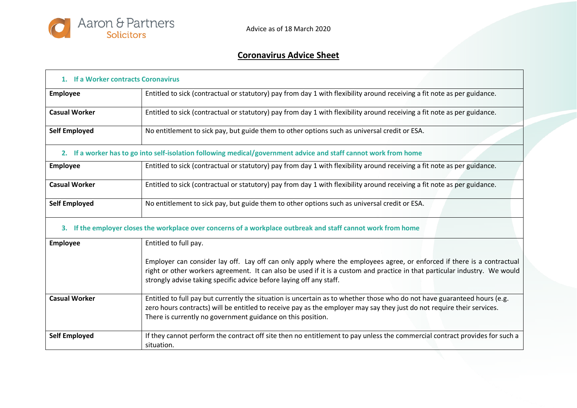

## **Coronavirus Advice Sheet**

| 1. If a Worker contracts Coronavirus |                                                                                                                                                                                                                                                                                                                             |  |
|--------------------------------------|-----------------------------------------------------------------------------------------------------------------------------------------------------------------------------------------------------------------------------------------------------------------------------------------------------------------------------|--|
| Employee                             | Entitled to sick (contractual or statutory) pay from day 1 with flexibility around receiving a fit note as per guidance.                                                                                                                                                                                                    |  |
| <b>Casual Worker</b>                 | Entitled to sick (contractual or statutory) pay from day 1 with flexibility around receiving a fit note as per guidance.                                                                                                                                                                                                    |  |
| <b>Self Employed</b>                 | No entitlement to sick pay, but guide them to other options such as universal credit or ESA.                                                                                                                                                                                                                                |  |
|                                      | 2. If a worker has to go into self-isolation following medical/government advice and staff cannot work from home                                                                                                                                                                                                            |  |
| <b>Employee</b>                      | Entitled to sick (contractual or statutory) pay from day 1 with flexibility around receiving a fit note as per guidance.                                                                                                                                                                                                    |  |
| <b>Casual Worker</b>                 | Entitled to sick (contractual or statutory) pay from day 1 with flexibility around receiving a fit note as per guidance.                                                                                                                                                                                                    |  |
| <b>Self Employed</b>                 | No entitlement to sick pay, but guide them to other options such as universal credit or ESA.                                                                                                                                                                                                                                |  |
| 3.                                   | If the employer closes the workplace over concerns of a workplace outbreak and staff cannot work from home                                                                                                                                                                                                                  |  |
| <b>Employee</b>                      | Entitled to full pay.                                                                                                                                                                                                                                                                                                       |  |
|                                      | Employer can consider lay off. Lay off can only apply where the employees agree, or enforced if there is a contractual<br>right or other workers agreement. It can also be used if it is a custom and practice in that particular industry. We would<br>strongly advise taking specific advice before laying off any staff. |  |
| <b>Casual Worker</b>                 | Entitled to full pay but currently the situation is uncertain as to whether those who do not have guaranteed hours (e.g.<br>zero hours contracts) will be entitled to receive pay as the employer may say they just do not require their services.<br>There is currently no government guidance on this position.           |  |
| <b>Self Employed</b>                 | If they cannot perform the contract off site then no entitlement to pay unless the commercial contract provides for such a<br>situation.                                                                                                                                                                                    |  |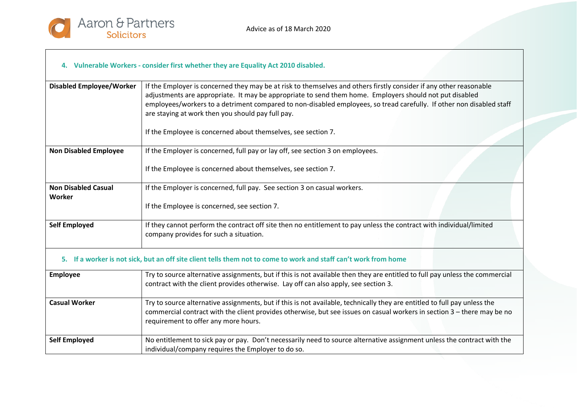

## **4. Vulnerable Workers - consider first whether they are Equality Act 2010 disabled.**

| <b>Disabled Employee/Worker</b>      | If the Employer is concerned they may be at risk to themselves and others firstly consider if any other reasonable<br>adjustments are appropriate. It may be appropriate to send them home. Employers should not put disabled<br>employees/workers to a detriment compared to non-disabled employees, so tread carefully. If other non disabled staff<br>are staying at work then you should pay full pay.<br>If the Employee is concerned about themselves, see section 7. |  |
|--------------------------------------|-----------------------------------------------------------------------------------------------------------------------------------------------------------------------------------------------------------------------------------------------------------------------------------------------------------------------------------------------------------------------------------------------------------------------------------------------------------------------------|--|
|                                      |                                                                                                                                                                                                                                                                                                                                                                                                                                                                             |  |
| <b>Non Disabled Employee</b>         | If the Employer is concerned, full pay or lay off, see section 3 on employees.                                                                                                                                                                                                                                                                                                                                                                                              |  |
|                                      | If the Employee is concerned about themselves, see section 7.                                                                                                                                                                                                                                                                                                                                                                                                               |  |
| <b>Non Disabled Casual</b><br>Worker | If the Employer is concerned, full pay. See section 3 on casual workers.                                                                                                                                                                                                                                                                                                                                                                                                    |  |
|                                      | If the Employee is concerned, see section 7.                                                                                                                                                                                                                                                                                                                                                                                                                                |  |
| <b>Self Employed</b>                 | If they cannot perform the contract off site then no entitlement to pay unless the contract with individual/limited<br>company provides for such a situation.                                                                                                                                                                                                                                                                                                               |  |
|                                      | 5. If a worker is not sick, but an off site client tells them not to come to work and staff can't work from home                                                                                                                                                                                                                                                                                                                                                            |  |
| <b>Employee</b>                      | Try to source alternative assignments, but if this is not available then they are entitled to full pay unless the commercial<br>contract with the client provides otherwise. Lay off can also apply, see section 3.                                                                                                                                                                                                                                                         |  |
| <b>Casual Worker</b>                 | Try to source alternative assignments, but if this is not available, technically they are entitled to full pay unless the<br>commercial contract with the client provides otherwise, but see issues on casual workers in section 3 - there may be no<br>requirement to offer any more hours.                                                                                                                                                                                |  |
| <b>Self Employed</b>                 | No entitlement to sick pay or pay. Don't necessarily need to source alternative assignment unless the contract with the<br>individual/company requires the Employer to do so.                                                                                                                                                                                                                                                                                               |  |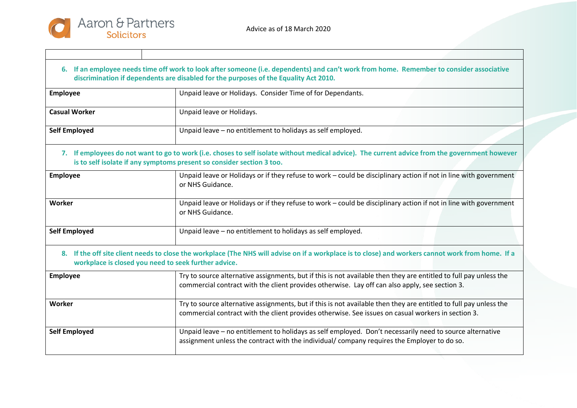| 6. If an employee needs time off work to look after someone (i.e. dependents) and can't work from home. Remember to consider associative<br>discrimination if dependents are disabled for the purposes of the Equality Act 2010. |  |  |
|----------------------------------------------------------------------------------------------------------------------------------------------------------------------------------------------------------------------------------|--|--|
| Unpaid leave or Holidays. Consider Time of for Dependants.                                                                                                                                                                       |  |  |
| Unpaid leave or Holidays.                                                                                                                                                                                                        |  |  |
| Unpaid leave - no entitlement to holidays as self employed.                                                                                                                                                                      |  |  |
| 7. If employees do not want to go to work (i.e. choses to self isolate without medical advice). The current advice from the government however<br>is to self isolate if any symptoms present so consider section 3 too.          |  |  |
| Unpaid leave or Holidays or if they refuse to work - could be disciplinary action if not in line with government<br>or NHS Guidance.                                                                                             |  |  |
| Unpaid leave or Holidays or if they refuse to work - could be disciplinary action if not in line with government<br>or NHS Guidance.                                                                                             |  |  |
| Unpaid leave - no entitlement to holidays as self employed.                                                                                                                                                                      |  |  |
| 8. If the off site client needs to close the workplace (The NHS will advise on if a workplace is to close) and workers cannot work from home. If a<br>workplace is closed you need to seek further advice.                       |  |  |
| Try to source alternative assignments, but if this is not available then they are entitled to full pay unless the<br>commercial contract with the client provides otherwise. Lay off can also apply, see section 3.              |  |  |
| Try to source alternative assignments, but if this is not available then they are entitled to full pay unless the<br>commercial contract with the client provides otherwise. See issues on casual workers in section 3.          |  |  |
| Unpaid leave - no entitlement to holidays as self employed. Don't necessarily need to source alternative<br>assignment unless the contract with the individual/company requires the Employer to do so.                           |  |  |
|                                                                                                                                                                                                                                  |  |  |